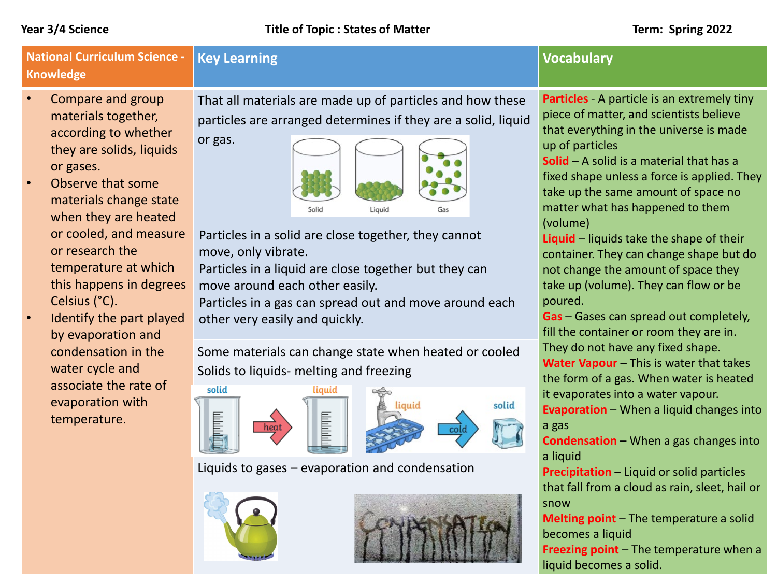| <b>National Curriculum Science -</b><br><b>Knowledge</b>                                                                                                                                                                                                                                                                                                                                                                                                                             | <b>Key Learning</b>                                                                                                                                                                                                                                                                                                                                                                                                                                                                                                                                                                                                                                                                   | <b>Vocabulary</b>                                                                                                                                                                                                                                                                                                                                                                                                                                                                                                                                                                                                                                                                                                                                                                                                                                                                                                                                    |
|--------------------------------------------------------------------------------------------------------------------------------------------------------------------------------------------------------------------------------------------------------------------------------------------------------------------------------------------------------------------------------------------------------------------------------------------------------------------------------------|---------------------------------------------------------------------------------------------------------------------------------------------------------------------------------------------------------------------------------------------------------------------------------------------------------------------------------------------------------------------------------------------------------------------------------------------------------------------------------------------------------------------------------------------------------------------------------------------------------------------------------------------------------------------------------------|------------------------------------------------------------------------------------------------------------------------------------------------------------------------------------------------------------------------------------------------------------------------------------------------------------------------------------------------------------------------------------------------------------------------------------------------------------------------------------------------------------------------------------------------------------------------------------------------------------------------------------------------------------------------------------------------------------------------------------------------------------------------------------------------------------------------------------------------------------------------------------------------------------------------------------------------------|
| $\bullet$<br>Compare and group<br>materials together,<br>according to whether<br>they are solids, liquids<br>or gases.<br>Observe that some<br>$\bullet$<br>materials change state<br>when they are heated<br>or cooled, and measure<br>or research the<br>temperature at which<br>this happens in degrees<br>Celsius (°C).<br>Identify the part played<br>by evaporation and<br>condensation in the<br>water cycle and<br>associate the rate of<br>evaporation with<br>temperature. | That all materials are made up of particles and how these<br>particles are arranged determines if they are a solid, liquid<br>or gas.<br>Solid<br>Liquid<br>Particles in a solid are close together, they cannot<br>move, only vibrate.<br>Particles in a liquid are close together but they can<br>move around each other easily.<br>Particles in a gas can spread out and move around each<br>other very easily and quickly.<br>Some materials can change state when heated or cooled<br>Solids to liquids- melting and freezing<br>solid<br>liquid<br>solid<br>iauid<br><b>Hilibiliti</b><br><b>MARK</b><br>heat<br><b>COLO</b><br>Liquids to gases - evaporation and condensation | Particles A particle is an extremely tiny<br>piece of matter, and scientists believe<br>that everything in the universe is made<br>up of particles<br><b>Solid</b> $-$ A solid is a material that has a<br>fixed shape unless a force is applied. They<br>take up the same amount of space no<br>matter what has happened to them<br>(volume)<br>Liquid - liquids take the shape of their<br>container. They can change shape but do<br>not change the amount of space they<br>take up (volume). They can flow or be<br>poured.<br>Gas - Gases can spread out completely,<br>fill the container or room they are in.<br>They do not have any fixed shape.<br>Water Vapour - This is water that takes<br>the form of a gas. When water is heated<br>it evaporates into a water vapour.<br>Evaporation - When a liquid changes into<br>a gas<br><b>Condensation</b> - When a gas changes into<br>a liquid<br>Precipitation - Liquid or solid particles |
|                                                                                                                                                                                                                                                                                                                                                                                                                                                                                      |                                                                                                                                                                                                                                                                                                                                                                                                                                                                                                                                                                                                                                                                                       | that fall from a cloud as rain, sleet, hail or<br>snow<br>Melting point - The temperature a solid<br>becomes a liquid<br>Freezing point - The temperature when a<br>liquid becomes a solid.                                                                                                                                                                                                                                                                                                                                                                                                                                                                                                                                                                                                                                                                                                                                                          |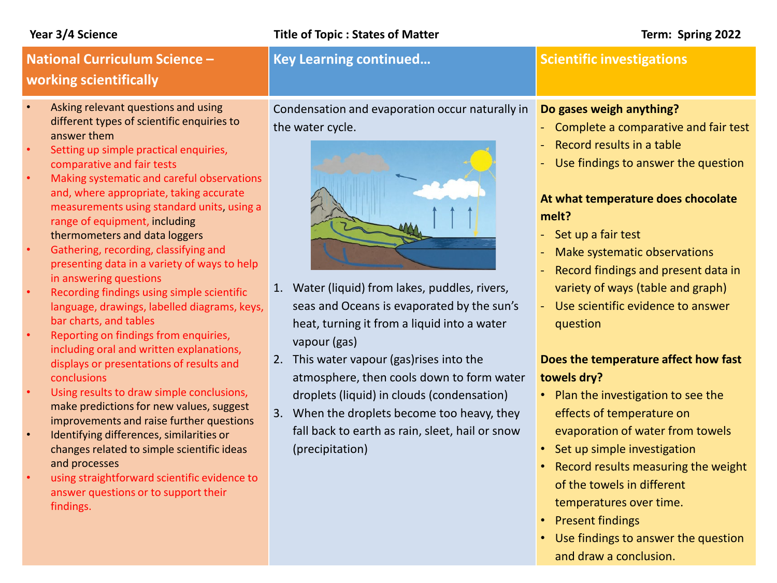### **Year 3/4 Science Title of Topic : States of Matter Term: Spring 2022**

# **National Curriculum Science – working scientifically**

- Asking relevant questions and using different types of scientific enquiries to answer them
- Setting up simple practical enquiries, comparative and fair tests
- Making systematic and careful observations and, where appropriate, taking accurate measurements using standard units, using a range of equipment, including thermometers and data loggers
- Gathering, recording, classifying and presenting data in a variety of ways to help in answering questions
- Recording findings using simple scientific language, drawings, labelled diagrams, keys, bar charts, and tables
- Reporting on findings from enquiries, including oral and written explanations, displays or presentations of results and conclusions
- Using results to draw simple conclusions, make predictions for new values, suggest improvements and raise further questions
- Identifying differences, similarities or changes related to simple scientific ideas and processes
- using straightforward scientific evidence to answer questions or to support their findings.

Condensation and evaporation occur naturally in the water cycle.

**Key Learning continued... Continued Scientific investigations** 

- 1. Water (liquid) from lakes, puddles, rivers, seas and Oceans is evaporated by the sun's heat, turning it from a liquid into a water vapour (gas)
- 2. This water vapour (gas)rises into the atmosphere, then cools down to form water droplets (liquid) in clouds (condensation)
- 3. When the droplets become too heavy, they fall back to earth as rain, sleet, hail or snow (precipitation)

### **Do gases weigh anything?**

- Complete a comparative and fair test
- Record results in a table
- Use findings to answer the question

## **At what temperature does chocolate melt?**

- Set up a fair test
- Make systematic observations
- Record findings and present data in variety of ways (table and graph)
- Use scientific evidence to answer question

## **Does the temperature affect how fast towels dry?**

- Plan the investigation to see the effects of temperature on evaporation of water from towels
- Set up simple investigation
- Record results measuring the weight of the towels in different temperatures over time.
- Present findings
- Use findings to answer the question and draw a conclusion.